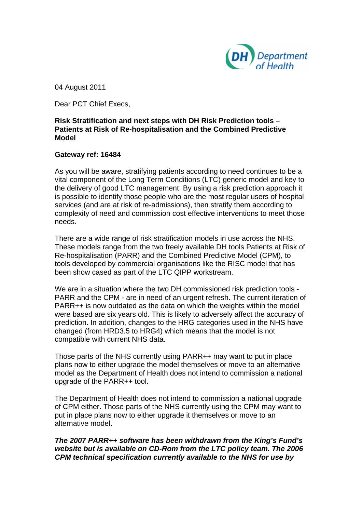

04 August 2011

Dear PCT Chief Execs,

# **Risk Stratification and next steps with DH Risk Prediction tools – Patients at Risk of Re-hospitalisation and the Combined Predictive Model**

## **Gateway ref: 16484**

As you will be aware, stratifying patients according to need continues to be a vital component of the Long Term Conditions (LTC) generic model and key to the delivery of good LTC management. By using a risk prediction approach it is possible to identify those people who are the most regular users of hospital services (and are at risk of re-admissions), then stratify them according to complexity of need and commission cost effective interventions to meet those needs.

There are a wide range of risk stratification models in use across the NHS. These models range from the two freely available DH tools Patients at Risk of Re-hospitalisation (PARR) and the Combined Predictive Model (CPM), to tools developed by commercial organisations like the RISC model that has been show cased as part of the LTC QIPP workstream.

We are in a situation where the two DH commissioned risk prediction tools - PARR and the CPM - are in need of an urgent refresh. The current iteration of PARR++ is now outdated as the data on which the weights within the model were based are six years old. This is likely to adversely affect the accuracy of prediction. In addition, changes to the HRG categories used in the NHS have changed (from HRD3.5 to HRG4) which means that the model is not compatible with current NHS data.

Those parts of the NHS currently using PARR++ may want to put in place plans now to either upgrade the model themselves or move to an alternative model as the Department of Health does not intend to commission a national upgrade of the PARR++ tool.

The Department of Health does not intend to commission a national upgrade of CPM either. Those parts of the NHS currently using the CPM may want to put in place plans now to either upgrade it themselves or move to an alternative model.

*The 2007 PARR++ software has been withdrawn from the King's Fund's website but is available on CD-Rom from the LTC policy team. The 2006 CPM technical specification currently available to the NHS for use by*